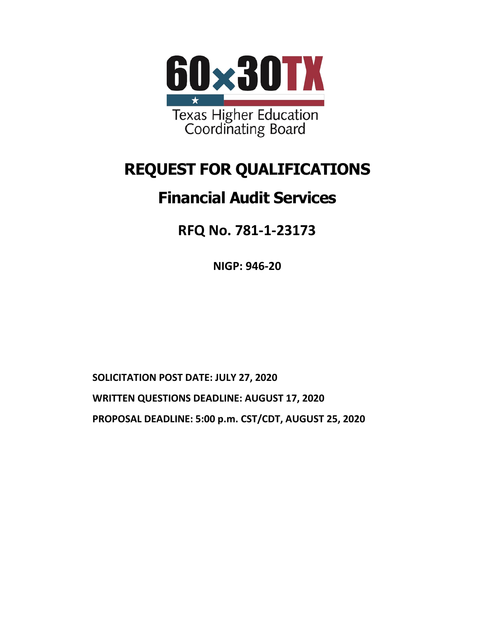

# **REQUEST FOR QUALIFICATIONS**

# **Financial Audit Services**

**RFQ No. 781-1-23173**

**NIGP: 946-20**

**SOLICITATION POST DATE: JULY 27, 2020 WRITTEN QUESTIONS DEADLINE: AUGUST 17, 2020 PROPOSAL DEADLINE: 5:00 p.m. CST/CDT, AUGUST 25, 2020**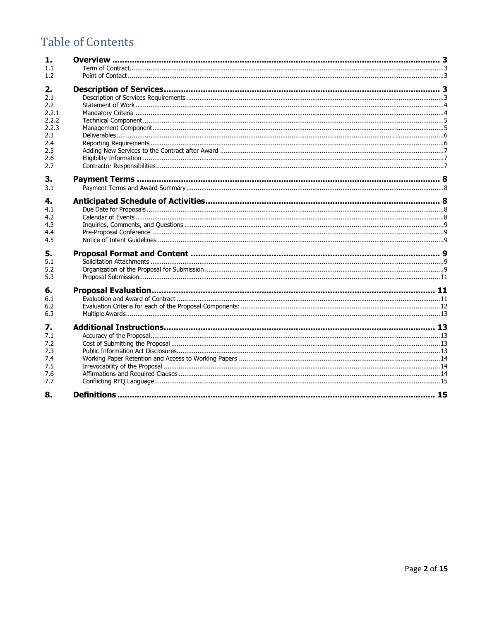# **Table of Contents**

| 1.    |  |
|-------|--|
| 1.1   |  |
| 1.2   |  |
| 2.    |  |
| 2.1   |  |
| 2.2   |  |
| 2.2.1 |  |
| 2.2.2 |  |
| 2.2.3 |  |
| 2.3   |  |
| 2.4   |  |
| 2.5   |  |
| 2.6   |  |
| 2.7   |  |
|       |  |
| 3.    |  |
| 3.1   |  |
| 4.    |  |
| 4.1   |  |
| 4.2   |  |
| 4.3   |  |
| 4.4   |  |
| 4.5   |  |
| 5.    |  |
| 5.1   |  |
| 5.2   |  |
| 5.3   |  |
|       |  |
| 6.    |  |
| 6.1   |  |
| 6.2   |  |
| 6.3   |  |
| 7.    |  |
| 7.1   |  |
| 7.2   |  |
| 7.3   |  |
| 7.4   |  |
| 7.5   |  |
| 7.6   |  |
| 7.7   |  |
| 8.    |  |
|       |  |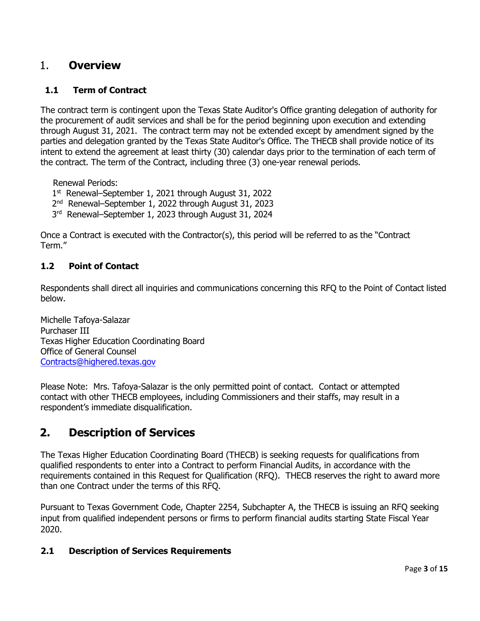# <span id="page-2-0"></span>1. **Overview**

# <span id="page-2-1"></span>**1.1 Term of Contract**

The contract term is contingent upon the Texas State Auditor's Office granting delegation of authority for the procurement of audit services and shall be for the period beginning upon execution and extending through August 31, 2021. The contract term may not be extended except by amendment signed by the parties and delegation granted by the Texas State Auditor's Office. The THECB shall provide notice of its intent to extend the agreement at least thirty (30) calendar days prior to the termination of each term of the contract. The term of the Contract, including three (3) one-year renewal periods.

Renewal Periods:

- 1st Renewal–September 1, 2021 through August 31, 2022
- 2<sup>nd</sup> Renewal–September 1, 2022 through August 31, 2023
- 3rd Renewal–September 1, 2023 through August 31, 2024

Once a Contract is executed with the Contractor(s), this period will be referred to as the "Contract Term."

# <span id="page-2-2"></span>**1.2 Point of Contact**

Respondents shall direct all inquiries and communications concerning this RFQ to the Point of Contact listed below.

Michelle Tafoya-Salazar Purchaser III Texas Higher Education Coordinating Board Office of General Counsel [Contracts@highered.texas.gov](mailto:Contracts@highered.texas.gov)

Please Note: Mrs. Tafoya-Salazar is the only permitted point of contact. Contact or attempted contact with other THECB employees, including Commissioners and their staffs, may result in a respondent's immediate disqualification.

# <span id="page-2-3"></span>**2. Description of Services**

The Texas Higher Education Coordinating Board (THECB) is seeking requests for qualifications from qualified respondents to enter into a Contract to perform Financial Audits, in accordance with the requirements contained in this Request for Qualification (RFQ). THECB reserves the right to award more than one Contract under the terms of this RFQ.

Pursuant to Texas Government Code, Chapter 2254, Subchapter A, the THECB is issuing an RFQ seeking input from qualified independent persons or firms to perform financial audits starting State Fiscal Year 2020.

## <span id="page-2-4"></span>**2.1 Description of Services Requirements**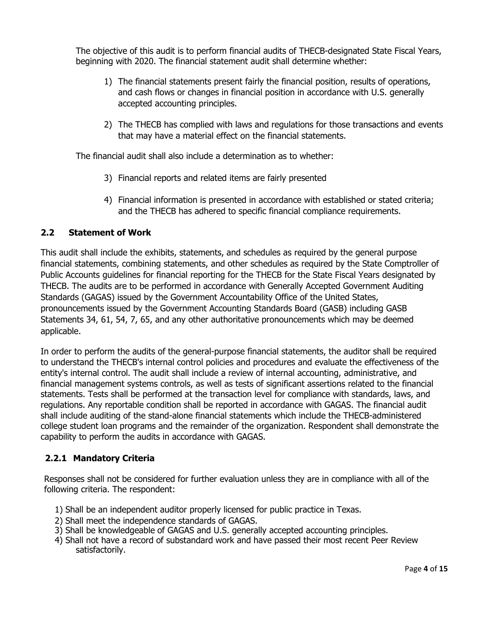The objective of this audit is to perform financial audits of THECB-designated State Fiscal Years, beginning with 2020. The financial statement audit shall determine whether:

- 1) The financial statements present fairly the financial position, results of operations, and cash flows or changes in financial position in accordance with U.S. generally accepted accounting principles.
- 2) The THECB has complied with laws and regulations for those transactions and events that may have a material effect on the financial statements.

The financial audit shall also include a determination as to whether:

- 3) Financial reports and related items are fairly presented
- 4) Financial information is presented in accordance with established or stated criteria; and the THECB has adhered to specific financial compliance requirements.

### <span id="page-3-0"></span>**2.2 Statement of Work**

This audit shall include the exhibits, statements, and schedules as required by the general purpose financial statements, combining statements, and other schedules as required by the State Comptroller of Public Accounts guidelines for financial reporting for the THECB for the State Fiscal Years designated by THECB. The audits are to be performed in accordance with Generally Accepted Government Auditing Standards (GAGAS) issued by the Government Accountability Office of the United States, pronouncements issued by the Government Accounting Standards Board (GASB) including GASB Statements 34, 61, 54, 7, 65, and any other authoritative pronouncements which may be deemed applicable.

In order to perform the audits of the general-purpose financial statements, the auditor shall be required to understand the THECB's internal control policies and procedures and evaluate the effectiveness of the entity's internal control. The audit shall include a review of internal accounting, administrative, and financial management systems controls, as well as tests of significant assertions related to the financial statements. Tests shall be performed at the transaction level for compliance with standards, laws, and regulations. Any reportable condition shall be reported in accordance with GAGAS. The financial audit shall include auditing of the stand-alone financial statements which include the THECB-administered college student loan programs and the remainder of the organization. Respondent shall demonstrate the capability to perform the audits in accordance with GAGAS.

## <span id="page-3-1"></span>**2.2.1 Mandatory Criteria**

Responses shall not be considered for further evaluation unless they are in compliance with all of the following criteria. The respondent:

- 1) Shall be an independent auditor properly licensed for public practice in Texas.
- 2) Shall meet the independence standards of GAGAS.
- 3) Shall be knowledgeable of GAGAS and U.S. generally accepted accounting principles.
- 4) Shall not have a record of substandard work and have passed their most recent Peer Review satisfactorily.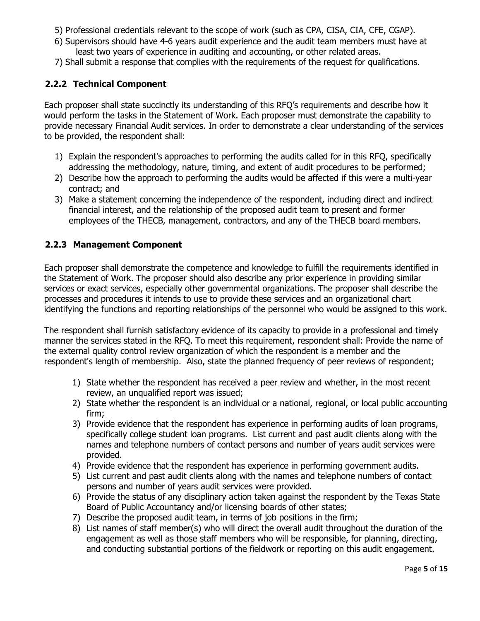- 5) Professional credentials relevant to the scope of work (such as CPA, CISA, CIA, CFE, CGAP).
- 6) Supervisors should have 4-6 years audit experience and the audit team members must have at least two years of experience in auditing and accounting, or other related areas.
- 7) Shall submit a response that complies with the requirements of the request for qualifications.

# <span id="page-4-0"></span>**2.2.2 Technical Component**

Each proposer shall state succinctly its understanding of this RFQ's requirements and describe how it would perform the tasks in the Statement of Work. Each proposer must demonstrate the capability to provide necessary Financial Audit services. In order to demonstrate a clear understanding of the services to be provided, the respondent shall:

- 1) Explain the respondent's approaches to performing the audits called for in this RFQ, specifically addressing the methodology, nature, timing, and extent of audit procedures to be performed;
- 2) Describe how the approach to performing the audits would be affected if this were a multi-year contract; and
- 3) Make a statement concerning the independence of the respondent, including direct and indirect financial interest, and the relationship of the proposed audit team to present and former employees of the THECB, management, contractors, and any of the THECB board members.

### <span id="page-4-1"></span>**2.2.3 Management Component**

Each proposer shall demonstrate the competence and knowledge to fulfill the requirements identified in the Statement of Work. The proposer should also describe any prior experience in providing similar services or exact services, especially other governmental organizations. The proposer shall describe the processes and procedures it intends to use to provide these services and an organizational chart identifying the functions and reporting relationships of the personnel who would be assigned to this work.

The respondent shall furnish satisfactory evidence of its capacity to provide in a professional and timely manner the services stated in the RFQ. To meet this requirement, respondent shall: Provide the name of the external quality control review organization of which the respondent is a member and the respondent's length of membership. Also, state the planned frequency of peer reviews of respondent;

- 1) State whether the respondent has received a peer review and whether, in the most recent review, an unqualified report was issued;
- 2) State whether the respondent is an individual or a national, regional, or local public accounting firm;
- 3) Provide evidence that the respondent has experience in performing audits of loan programs, specifically college student loan programs. List current and past audit clients along with the names and telephone numbers of contact persons and number of years audit services were provided.
- 4) Provide evidence that the respondent has experience in performing government audits.
- 5) List current and past audit clients along with the names and telephone numbers of contact persons and number of years audit services were provided.
- 6) Provide the status of any disciplinary action taken against the respondent by the Texas State Board of Public Accountancy and/or licensing boards of other states;
- 7) Describe the proposed audit team, in terms of job positions in the firm;
- 8) List names of staff member(s) who will direct the overall audit throughout the duration of the engagement as well as those staff members who will be responsible, for planning, directing, and conducting substantial portions of the fieldwork or reporting on this audit engagement.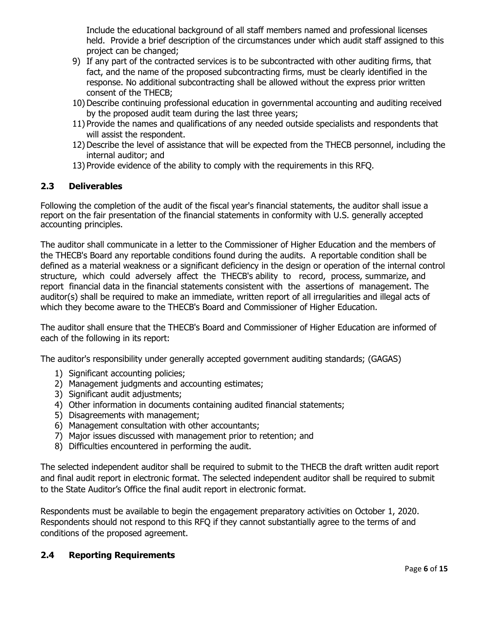Include the educational background of all staff members named and professional licenses held. Provide a brief description of the circumstances under which audit staff assigned to this project can be changed;

- 9) If any part of the contracted services is to be subcontracted with other auditing firms, that fact, and the name of the proposed subcontracting firms, must be clearly identified in the response. No additional subcontracting shall be allowed without the express prior written consent of the THECB;
- 10) Describe continuing professional education in governmental accounting and auditing received by the proposed audit team during the last three years;
- 11) Provide the names and qualifications of any needed outside specialists and respondents that will assist the respondent.
- 12)Describe the level of assistance that will be expected from the THECB personnel, including the internal auditor; and
- 13) Provide evidence of the ability to comply with the requirements in this RFQ.

### <span id="page-5-0"></span>**2.3 Deliverables**

Following the completion of the audit of the fiscal year's financial statements, the auditor shall issue a report on the fair presentation of the financial statements in conformity with U.S. generally accepted accounting principles.

The auditor shall communicate in a letter to the Commissioner of Higher Education and the members of the THECB's Board any reportable conditions found during the audits. A reportable condition shall be defined as a material weakness or a significant deficiency in the design or operation of the internal control structure, which could adversely affect the THECB's ability to record, process, summarize, and report financial data in the financial statements consistent with the assertions of management. The auditor(s) shall be required to make an immediate, written report of all irregularities and illegal acts of which they become aware to the THECB's Board and Commissioner of Higher Education.

The auditor shall ensure that the THECB's Board and Commissioner of Higher Education are informed of each of the following in its report:

The auditor's responsibility under generally accepted government auditing standards; (GAGAS)

- 1) Significant accounting policies;
- 2) Management judgments and accounting estimates;
- 3) Significant audit adjustments;
- 4) Other information in documents containing audited financial statements;
- 5) Disagreements with management;
- 6) Management consultation with other accountants;
- 7) Major issues discussed with management prior to retention; and
- 8) Difficulties encountered in performing the audit.

The selected independent auditor shall be required to submit to the THECB the draft written audit report and final audit report in electronic format. The selected independent auditor shall be required to submit to the State Auditor's Office the final audit report in electronic format.

Respondents must be available to begin the engagement preparatory activities on October 1, 2020. Respondents should not respond to this RFQ if they cannot substantially agree to the terms of and conditions of the proposed agreement.

#### <span id="page-5-1"></span>**2.4 Reporting Requirements**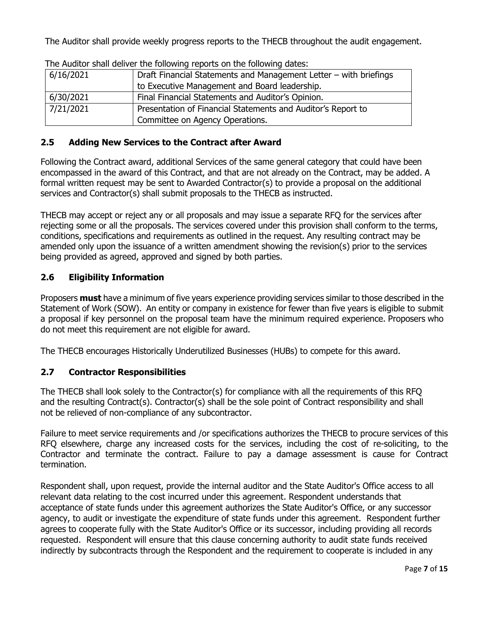The Auditor shall provide weekly progress reports to the THECB throughout the audit engagement.

| The Addition briding during the rollowing reports on the rollowing dates. |                                                                   |  |  |  |
|---------------------------------------------------------------------------|-------------------------------------------------------------------|--|--|--|
| 6/16/2021                                                                 | Draft Financial Statements and Management Letter - with briefings |  |  |  |
|                                                                           | to Executive Management and Board leadership.                     |  |  |  |
| 6/30/2021                                                                 | Final Financial Statements and Auditor's Opinion.                 |  |  |  |
| 7/21/2021                                                                 | Presentation of Financial Statements and Auditor's Report to      |  |  |  |
|                                                                           | Committee on Agency Operations.                                   |  |  |  |

The Auditor shall deliver the following reports on the following dates:

# <span id="page-6-0"></span>**2.5 Adding New Services to the Contract after Award**

Following the Contract award, additional Services of the same general category that could have been encompassed in the award of this Contract, and that are not already on the Contract, may be added. A formal written request may be sent to Awarded Contractor(s) to provide a proposal on the additional services and Contractor(s) shall submit proposals to the THECB as instructed.

THECB may accept or reject any or all proposals and may issue a separate RFQ for the services after rejecting some or all the proposals. The services covered under this provision shall conform to the terms, conditions, specifications and requirements as outlined in the request. Any resulting contract may be amended only upon the issuance of a written amendment showing the revision(s) prior to the services being provided as agreed, approved and signed by both parties.

# <span id="page-6-1"></span>**2.6 Eligibility Information**

Proposers **must** have a minimum of five years experience providing services similar to those described in the Statement of Work (SOW). An entity or company in existence for fewer than five years is eligible to submit a proposal if key personnel on the proposal team have the minimum required experience. Proposers who do not meet this requirement are not eligible for award.

The THECB encourages Historically Underutilized Businesses (HUBs) to compete for this award.

# <span id="page-6-2"></span>**2.7 Contractor Responsibilities**

The THECB shall look solely to the Contractor(s) for compliance with all the requirements of this RFQ and the resulting Contract(s). Contractor(s) shall be the sole point of Contract responsibility and shall not be relieved of non-compliance of any subcontractor.

Failure to meet service requirements and /or specifications authorizes the THECB to procure services of this RFQ elsewhere, charge any increased costs for the services, including the cost of re-soliciting, to the Contractor and terminate the contract. Failure to pay a damage assessment is cause for Contract termination.

Respondent shall, upon request, provide the internal auditor and the State Auditor's Office access to all relevant data relating to the cost incurred under this agreement. Respondent understands that acceptance of state funds under this agreement authorizes the State Auditor's Office, or any successor agency, to audit or investigate the expenditure of state funds under this agreement. Respondent further agrees to cooperate fully with the State Auditor's Office or its successor, including providing all records requested. Respondent will ensure that this clause concerning authority to audit state funds received indirectly by subcontracts through the Respondent and the requirement to cooperate is included in any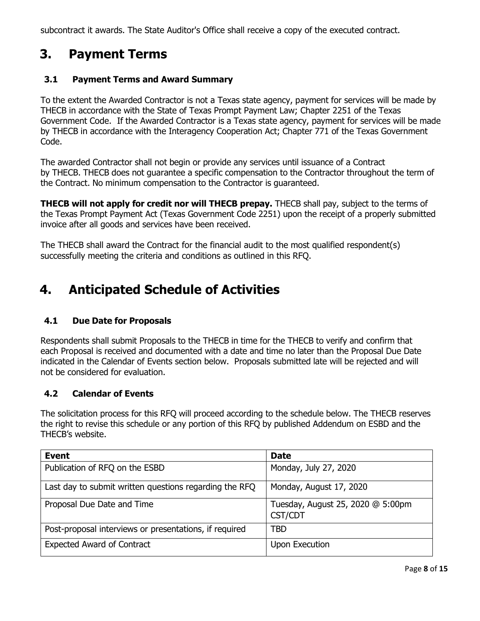subcontract it awards. The State Auditor's Office shall receive a copy of the executed contract.

# <span id="page-7-0"></span>**3. Payment Terms**

## <span id="page-7-1"></span>**3.1 Payment Terms and Award Summary**

To the extent the Awarded Contractor is not a Texas state agency, payment for services will be made by THECB in accordance with the State of Texas Prompt Payment Law; Chapter 2251 of the Texas Government Code. If the Awarded Contractor is a Texas state agency, payment for services will be made by THECB in accordance with the Interagency Cooperation Act; Chapter 771 of the Texas Government Code.

The awarded Contractor shall not begin or provide any services until issuance of a Contract by THECB. THECB does not guarantee a specific compensation to the Contractor throughout the term of the Contract. No minimum compensation to the Contractor is guaranteed.

**THECB will not apply for credit nor will THECB prepay.** THECB shall pay, subject to the terms of the Texas Prompt Payment Act (Texas Government Code 2251) upon the receipt of a properly submitted invoice after all goods and services have been received.

The THECB shall award the Contract for the financial audit to the most qualified respondent(s) successfully meeting the criteria and conditions as outlined in this RFQ.

# <span id="page-7-2"></span>**4. Anticipated Schedule of Activities**

# <span id="page-7-3"></span>**4.1 Due Date for Proposals**

Respondents shall submit Proposals to the THECB in time for the THECB to verify and confirm that each Proposal is received and documented with a date and time no later than the Proposal Due Date indicated in the Calendar of Events section below. Proposals submitted late will be rejected and will not be considered for evaluation.

## <span id="page-7-4"></span>**4.2 Calendar of Events**

The solicitation process for this RFQ will proceed according to the schedule below. The THECB reserves the right to revise this schedule or any portion of this RFQ by published Addendum on ESBD and the THECB's website.

| <b>Event</b>                                           | <b>Date</b>                                  |
|--------------------------------------------------------|----------------------------------------------|
| Publication of RFQ on the ESBD                         | Monday, July 27, 2020                        |
| Last day to submit written questions regarding the RFQ | Monday, August 17, 2020                      |
| Proposal Due Date and Time                             | Tuesday, August 25, 2020 @ 5:00pm<br>CST/CDT |
| Post-proposal interviews or presentations, if required | <b>TBD</b>                                   |
| <b>Expected Award of Contract</b>                      | Upon Execution                               |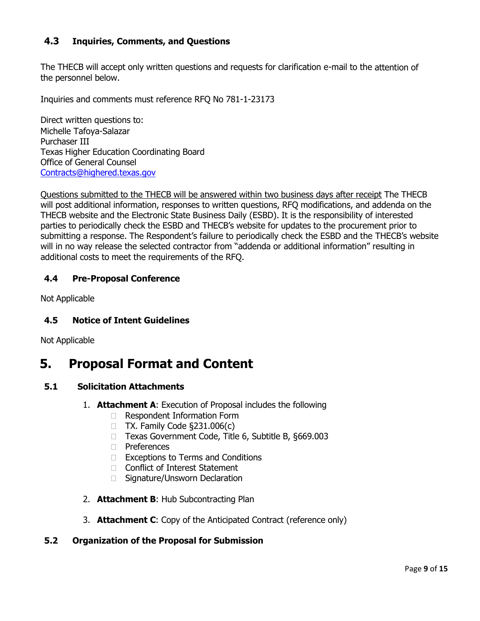# <span id="page-8-0"></span>**4.3 Inquiries, Comments, and Questions**

The THECB will accept only written questions and requests for clarification e-mail to the attention of the personnel below.

Inquiries and comments must reference RFQ No 781-1-23173

Direct written questions to: Michelle Tafoya-Salazar Purchaser III Texas Higher Education Coordinating Board Office of General Counsel Contracts@highered.texas.gov

Questions submitted to the THECB will be answered within two business days after receipt The THECB will post additional information, responses to written questions, RFQ modifications, and addenda on the THECB website and the Electronic State Business Daily (ESBD). It is the responsibility of interested parties to periodically check the ESBD and THECB's website for updates to the procurement prior to submitting a response. The Respondent's failure to periodically check the ESBD and the THECB's website will in no way release the selected contractor from "addenda or additional information" resulting in additional costs to meet the requirements of the RFQ.

## <span id="page-8-1"></span>**4.4 Pre-Proposal Conference**

Not Applicable

#### <span id="page-8-2"></span>**4.5 Notice of Intent Guidelines**

Not Applicable

# <span id="page-8-3"></span>**5. Proposal Format and Content**

#### **5.1 Solicitation Attachments**

- <span id="page-8-4"></span>1. **Attachment A**: Execution of Proposal includes the following
	- □ Respondent Information Form
	- $\Box$  TX. Family Code §231.006(c)
	- □ Texas Government Code, Title 6, Subtitle B, §669.003
	- □ Preferences
	- □ Exceptions to Terms and Conditions
	- □ Conflict of Interest Statement
	- □ Signature/Unsworn Declaration
- 2. **Attachment B**: Hub Subcontracting Plan
- 3. **Attachment C**: Copy of the Anticipated Contract (reference only)

#### <span id="page-8-5"></span>**5.2 Organization of the Proposal for Submission**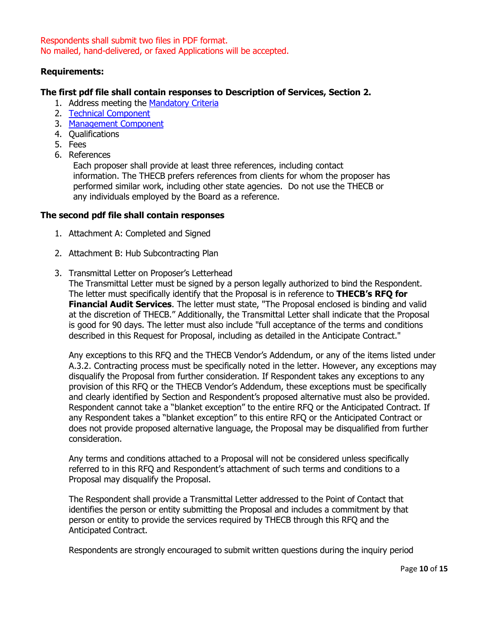Respondents shall submit two files in PDF format. No mailed, hand-delivered, or faxed Applications will be accepted.

#### **Requirements:**

#### **The first pdf file shall contain responses to Description of Services, Section 2.**

- 1. Address meeting the [Mandatory Criteria](#page-3-1)
- 2. [Technical Component](#page-4-0)
- 3. [Management Component](#page-4-1)
- 4. Qualifications
- 5. Fees
- 6. References

Each proposer shall provide at least three references, including contact information. The THECB prefers references from clients for whom the proposer has performed similar work, including other state agencies. Do not use the THECB or any individuals employed by the Board as a reference.

#### **The second pdf file shall contain responses**

- 1. Attachment A: Completed and Signed
- 2. Attachment B: Hub Subcontracting Plan
- 3. Transmittal Letter on Proposer's Letterhead

The Transmittal Letter must be signed by a person legally authorized to bind the Respondent. The letter must specifically identify that the Proposal is in reference to **THECB's RFQ for Financial Audit Services**. The letter must state, "The Proposal enclosed is binding and valid at the discretion of THECB." Additionally, the Transmittal Letter shall indicate that the Proposal is good for 90 days. The letter must also include "full acceptance of the terms and conditions described in this Request for Proposal, including as detailed in the Anticipate Contract."

Any exceptions to this RFQ and the THECB Vendor's Addendum, or any of the items listed under A.3.2. Contracting process must be specifically noted in the letter. However, any exceptions may disqualify the Proposal from further consideration. If Respondent takes any exceptions to any provision of this RFQ or the THECB Vendor's Addendum, these exceptions must be specifically and clearly identified by Section and Respondent's proposed alternative must also be provided. Respondent cannot take a "blanket exception" to the entire RFQ or the Anticipated Contract. If any Respondent takes a "blanket exception" to this entire RFQ or the Anticipated Contract or does not provide proposed alternative language, the Proposal may be disqualified from further consideration.

Any terms and conditions attached to a Proposal will not be considered unless specifically referred to in this RFQ and Respondent's attachment of such terms and conditions to a Proposal may disqualify the Proposal.

The Respondent shall provide a Transmittal Letter addressed to the Point of Contact that identifies the person or entity submitting the Proposal and includes a commitment by that person or entity to provide the services required by THECB through this RFQ and the Anticipated Contract.

Respondents are strongly encouraged to submit written questions during the inquiry period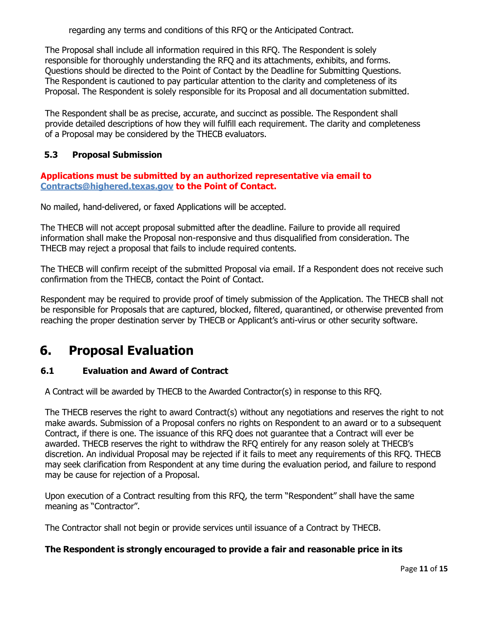regarding any terms and conditions of this RFQ or the Anticipated Contract.

The Proposal shall include all information required in this RFQ. The Respondent is solely responsible for thoroughly understanding the RFQ and its attachments, exhibits, and forms. Questions should be directed to the Point of Contact by the Deadline for Submitting Questions. The Respondent is cautioned to pay particular attention to the clarity and completeness of its Proposal. The Respondent is solely responsible for its Proposal and all documentation submitted.

The Respondent shall be as precise, accurate, and succinct as possible. The Respondent shall provide detailed descriptions of how they will fulfill each requirement. The clarity and completeness of a Proposal may be considered by the THECB evaluators.

## <span id="page-10-0"></span>**5.3 Proposal Submission**

### **Applications must be submitted by an authorized representative via email to [Contracts@highered.texas.gov](mailto:Contracts@highered.texas.gov) to the Point of Contact.**

No mailed, hand-delivered, or faxed Applications will be accepted.

The THECB will not accept proposal submitted after the deadline. Failure to provide all required information shall make the Proposal non-responsive and thus disqualified from consideration. The THECB may reject a proposal that fails to include required contents.

The THECB will confirm receipt of the submitted Proposal via email. If a Respondent does not receive such confirmation from the THECB, contact the Point of Contact.

Respondent may be required to provide proof of timely submission of the Application. The THECB shall not be responsible for Proposals that are captured, blocked, filtered, quarantined, or otherwise prevented from reaching the proper destination server by THECB or Applicant's anti-virus or other security software.

# <span id="page-10-1"></span>**6. Proposal Evaluation**

## <span id="page-10-2"></span>**6.1 Evaluation and Award of Contract**

A Contract will be awarded by THECB to the Awarded Contractor(s) in response to this RFQ.

The THECB reserves the right to award Contract(s) without any negotiations and reserves the right to not make awards. Submission of a Proposal confers no rights on Respondent to an award or to a subsequent Contract, if there is one. The issuance of this RFQ does not guarantee that a Contract will ever be awarded. THECB reserves the right to withdraw the RFQ entirely for any reason solely at THECB's discretion. An individual Proposal may be rejected if it fails to meet any requirements of this RFQ. THECB may seek clarification from Respondent at any time during the evaluation period, and failure to respond may be cause for rejection of a Proposal.

Upon execution of a Contract resulting from this RFQ, the term "Respondent" shall have the same meaning as "Contractor".

The Contractor shall not begin or provide services until issuance of a Contract by THECB.

## **The Respondent is strongly encouraged to provide a fair and reasonable price in its**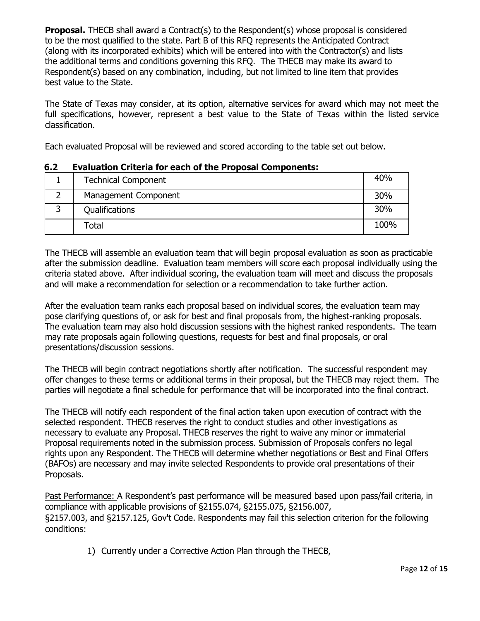**Proposal.** THECB shall award a Contract(s) to the Respondent(s) whose proposal is considered to be the most qualified to the state. Part B of this RFQ represents the Anticipated Contract (along with its incorporated exhibits) which will be entered into with the Contractor(s) and lists the additional terms and conditions governing this RFQ. The THECB may make its award to Respondent(s) based on any combination, including, but not limited to line item that provides best value to the State.

The State of Texas may consider, at its option, alternative services for award which may not meet the full specifications, however, represent a best value to the State of Texas within the listed service classification.

Each evaluated Proposal will be reviewed and scored according to the table set out below.

| <b>Technical Component</b> | 40%  |
|----------------------------|------|
| Management Component       | 30%  |
| Qualifications             | 30%  |
| Total                      | 100% |

### <span id="page-11-0"></span>**6.2 Evaluation Criteria for each of the Proposal Components:**

The THECB will assemble an evaluation team that will begin proposal evaluation as soon as practicable after the submission deadline. Evaluation team members will score each proposal individually using the criteria stated above. After individual scoring, the evaluation team will meet and discuss the proposals and will make a recommendation for selection or a recommendation to take further action.

After the evaluation team ranks each proposal based on individual scores, the evaluation team may pose clarifying questions of, or ask for best and final proposals from, the highest-ranking proposals. The evaluation team may also hold discussion sessions with the highest ranked respondents. The team may rate proposals again following questions, requests for best and final proposals, or oral presentations/discussion sessions.

The THECB will begin contract negotiations shortly after notification. The successful respondent may offer changes to these terms or additional terms in their proposal, but the THECB may reject them. The parties will negotiate a final schedule for performance that will be incorporated into the final contract.

The THECB will notify each respondent of the final action taken upon execution of contract with the selected respondent. THECB reserves the right to conduct studies and other investigations as necessary to evaluate any Proposal. THECB reserves the right to waive any minor or immaterial Proposal requirements noted in the submission process. Submission of Proposals confers no legal rights upon any Respondent. The THECB will determine whether negotiations or Best and Final Offers (BAFOs) are necessary and may invite selected Respondents to provide oral presentations of their Proposals.

Past Performance: A Respondent's past performance will be measured based upon pass/fail criteria, in compliance with applicable provisions of §2155.074, §2155.075, §2156.007, §2157.003, and §2157.125, Gov't Code. Respondents may fail this selection criterion for the following conditions:

1) Currently under a Corrective Action Plan through the THECB,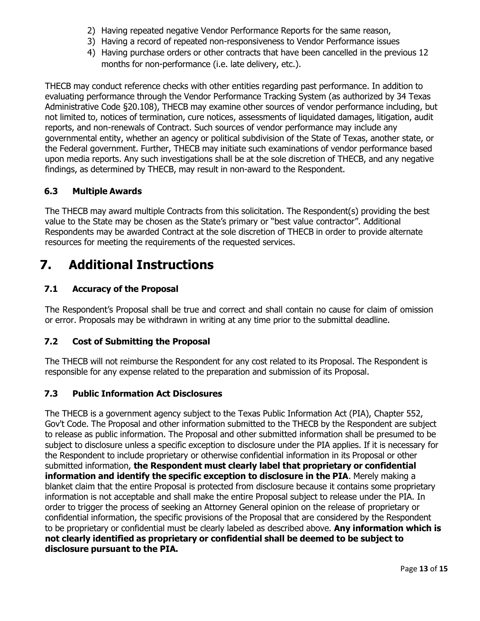- 2) Having repeated negative Vendor Performance Reports for the same reason,
- 3) Having a record of repeated non-responsiveness to Vendor Performance issues
- 4) Having purchase orders or other contracts that have been cancelled in the previous 12 months for non-performance (i.e. late delivery, etc.).

THECB may conduct reference checks with other entities regarding past performance. In addition to evaluating performance through the Vendor Performance Tracking System (as authorized by 34 Texas Administrative Code §20.108), THECB may examine other sources of vendor performance including, but not limited to, notices of termination, cure notices, assessments of liquidated damages, litigation, audit reports, and non-renewals of Contract. Such sources of vendor performance may include any governmental entity, whether an agency or political subdivision of the State of Texas, another state, or the Federal government. Further, THECB may initiate such examinations of vendor performance based upon media reports. Any such investigations shall be at the sole discretion of THECB, and any negative findings, as determined by THECB, may result in non-award to the Respondent.

# <span id="page-12-0"></span>**6.3 Multiple Awards**

The THECB may award multiple Contracts from this solicitation. The Respondent(s) providing the best value to the State may be chosen as the State's primary or "best value contractor". Additional Respondents may be awarded Contract at the sole discretion of THECB in order to provide alternate resources for meeting the requirements of the requested services.

# <span id="page-12-1"></span>**7. Additional Instructions**

# <span id="page-12-2"></span>**7.1 Accuracy of the Proposal**

The Respondent's Proposal shall be true and correct and shall contain no cause for claim of omission or error. Proposals may be withdrawn in writing at any time prior to the submittal deadline.

## <span id="page-12-3"></span>**7.2 Cost of Submitting the Proposal**

The THECB will not reimburse the Respondent for any cost related to its Proposal. The Respondent is responsible for any expense related to the preparation and submission of its Proposal.

## <span id="page-12-4"></span>**7.3 Public Information Act Disclosures**

The THECB is a government agency subject to the Texas Public Information Act (PIA), Chapter 552, Gov't Code. The Proposal and other information submitted to the THECB by the Respondent are subject to release as public information. The Proposal and other submitted information shall be presumed to be subject to disclosure unless a specific exception to disclosure under the PIA applies. If it is necessary for the Respondent to include proprietary or otherwise confidential information in its Proposal or other submitted information, **the Respondent must clearly label that proprietary or confidential information and identify the specific exception to disclosure in the PIA**. Merely making a blanket claim that the entire Proposal is protected from disclosure because it contains some proprietary information is not acceptable and shall make the entire Proposal subject to release under the PIA. In order to trigger the process of seeking an Attorney General opinion on the release of proprietary or confidential information, the specific provisions of the Proposal that are considered by the Respondent to be proprietary or confidential must be clearly labeled as described above. **Any information which is not clearly identified as proprietary or confidential shall be deemed to be subject to disclosure pursuant to the PIA.**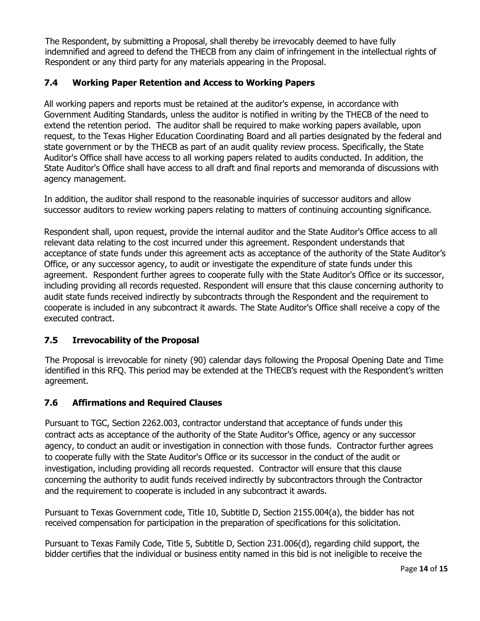The Respondent, by submitting a Proposal, shall thereby be irrevocably deemed to have fully indemnified and agreed to defend the THECB from any claim of infringement in the intellectual rights of Respondent or any third party for any materials appearing in the Proposal.

# <span id="page-13-0"></span>**7.4 Working Paper Retention and Access to Working Papers**

All working papers and reports must be retained at the auditor's expense, in accordance with Government Auditing Standards, unless the auditor is notified in writing by the THECB of the need to extend the retention period. The auditor shall be required to make working papers available, upon request, to the Texas Higher Education Coordinating Board and all parties designated by the federal and state government or by the THECB as part of an audit quality review process. Specifically, the State Auditor's Office shall have access to all working papers related to audits conducted. In addition, the State Auditor's Office shall have access to all draft and final reports and memoranda of discussions with agency management.

In addition, the auditor shall respond to the reasonable inquiries of successor auditors and allow successor auditors to review working papers relating to matters of continuing accounting significance.

Respondent shall, upon request, provide the internal auditor and the State Auditor's Office access to all relevant data relating to the cost incurred under this agreement. Respondent understands that acceptance of state funds under this agreement acts as acceptance of the authority of the State Auditor's Office, or any successor agency, to audit or investigate the expenditure of state funds under this agreement. Respondent further agrees to cooperate fully with the State Auditor's Office or its successor, including providing all records requested. Respondent will ensure that this clause concerning authority to audit state funds received indirectly by subcontracts through the Respondent and the requirement to cooperate is included in any subcontract it awards. The State Auditor's Office shall receive a copy of the executed contract.

## <span id="page-13-1"></span>**7.5 Irrevocability of the Proposal**

The Proposal is irrevocable for ninety (90) calendar days following the Proposal Opening Date and Time identified in this RFQ. This period may be extended at the THECB's request with the Respondent's written agreement.

# <span id="page-13-2"></span>**7.6 Affirmations and Required Clauses**

Pursuant to TGC, Section 2262.003, contractor understand that acceptance of funds under this contract acts as acceptance of the authority of the State Auditor's Office, agency or any successor agency, to conduct an audit or investigation in connection with those funds. Contractor further agrees to cooperate fully with the State Auditor's Office or its successor in the conduct of the audit or investigation, including providing all records requested. Contractor will ensure that this clause concerning the authority to audit funds received indirectly by subcontractors through the Contractor and the requirement to cooperate is included in any subcontract it awards.

Pursuant to Texas Government code, Title 10, Subtitle D, Section 2155.004(a), the bidder has not received compensation for participation in the preparation of specifications for this solicitation.

Pursuant to Texas Family Code, Title 5, Subtitle D, Section 231.006(d), regarding child support, the bidder certifies that the individual or business entity named in this bid is not ineligible to receive the